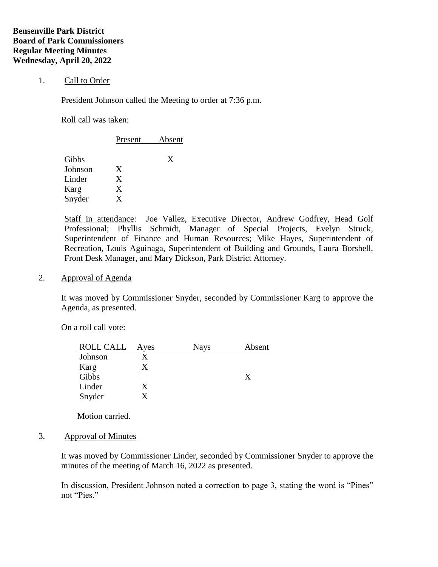### 1. Call to Order

President Johnson called the Meeting to order at 7:36 p.m.

Roll call was taken:

|         | Present | Absent |  |
|---------|---------|--------|--|
| Gibbs   |         | X      |  |
| Johnson | X       |        |  |
| Linder  | X       |        |  |
| Karg    | X       |        |  |
| Snyder  | X       |        |  |

Staff in attendance: Joe Vallez, Executive Director, Andrew Godfrey, Head Golf Professional; Phyllis Schmidt, Manager of Special Projects, Evelyn Struck, Superintendent of Finance and Human Resources; Mike Hayes, Superintendent of Recreation, Louis Aguinaga, Superintendent of Building and Grounds, Laura Borshell, Front Desk Manager, and Mary Dickson, Park District Attorney.

2. Approval of Agenda

It was moved by Commissioner Snyder, seconded by Commissioner Karg to approve the Agenda, as presented.

On a roll call vote:

| <b>ROLL CALL</b> | Ayes | <b>Nays</b> | Absent |
|------------------|------|-------------|--------|
| Johnson          |      |             |        |
| Karg             |      |             |        |
| Gibbs            |      |             | X      |
| Linder           |      |             |        |
| Snyder           |      |             |        |

Motion carried.

#### 3. Approval of Minutes

It was moved by Commissioner Linder, seconded by Commissioner Snyder to approve the minutes of the meeting of March 16, 2022 as presented.

In discussion, President Johnson noted a correction to page 3, stating the word is "Pines" not "Pies."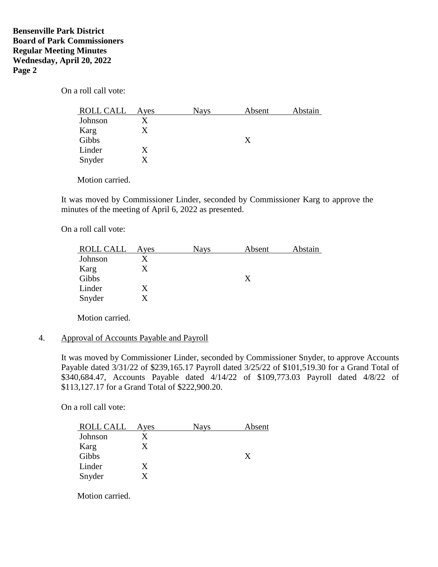# **Bensenville Park District Board of Park Commissioners Regular Meeting Minutes Wednesday, April 20, 2022 Page 2**

On a roll call vote:

| ROLL CALL | Ayes | <b>Nays</b> | Absent | Abstain |
|-----------|------|-------------|--------|---------|
| Johnson   |      |             |        |         |
| Karg      |      |             |        |         |
| Gibbs     |      |             | Х      |         |
| Linder    | X    |             |        |         |
| Snyder    |      |             |        |         |

Motion carried.

It was moved by Commissioner Linder, seconded by Commissioner Karg to approve the minutes of the meeting of April 6, 2022 as presented.

On a roll call vote:

| ROLL CALL | Ayes | <b>Nays</b> | Absent | Abstain |
|-----------|------|-------------|--------|---------|
| Johnson   |      |             |        |         |
| Karg      |      |             |        |         |
| Gibbs     |      |             | X      |         |
| Linder    |      |             |        |         |
| Snyder    |      |             |        |         |

Motion carried.

## 4. Approval of Accounts Payable and Payroll

It was moved by Commissioner Linder, seconded by Commissioner Snyder, to approve Accounts Payable dated 3/31/22 of \$239,165.17 Payroll dated 3/25/22 of \$101,519.30 for a Grand Total of \$340,684.47, Accounts Payable dated 4/14/22 of \$109,773.03 Payroll dated 4/8/22 of \$113,127.17 for a Grand Total of \$222,900.20.

On a roll call vote:

| ROLL CALL | Aves | <b>Nays</b> | Absent |
|-----------|------|-------------|--------|
| Johnson   |      |             |        |
| Karg      |      |             |        |
| Gibbs     |      |             | X      |
| Linder    |      |             |        |
| Snyder    |      |             |        |

Motion carried.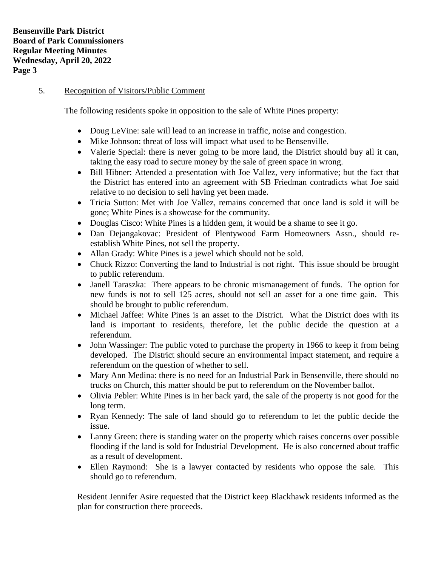## 5. Recognition of Visitors/Public Comment

The following residents spoke in opposition to the sale of White Pines property:

- Doug LeVine: sale will lead to an increase in traffic, noise and congestion.
- Mike Johnson: threat of loss will impact what used to be Bensenville.
- Valerie Special: there is never going to be more land, the District should buy all it can, taking the easy road to secure money by the sale of green space in wrong.
- Bill Hibner: Attended a presentation with Joe Vallez, very informative; but the fact that the District has entered into an agreement with SB Friedman contradicts what Joe said relative to no decision to sell having yet been made.
- Tricia Sutton: Met with Joe Vallez, remains concerned that once land is sold it will be gone; White Pines is a showcase for the community.
- Douglas Cisco: White Pines is a hidden gem, it would be a shame to see it go.
- Dan Dejangakovac: President of Plentywood Farm Homeowners Assn., should reestablish White Pines, not sell the property.
- Allan Grady: White Pines is a jewel which should not be sold.
- Chuck Rizzo: Converting the land to Industrial is not right. This issue should be brought to public referendum.
- Janell Taraszka: There appears to be chronic mismanagement of funds. The option for new funds is not to sell 125 acres, should not sell an asset for a one time gain. This should be brought to public referendum.
- Michael Jaffee: White Pines is an asset to the District. What the District does with its land is important to residents, therefore, let the public decide the question at a referendum.
- John Wassinger: The public voted to purchase the property in 1966 to keep it from being developed. The District should secure an environmental impact statement, and require a referendum on the question of whether to sell.
- Mary Ann Medina: there is no need for an Industrial Park in Bensenville, there should no trucks on Church, this matter should be put to referendum on the November ballot.
- Olivia Pebler: White Pines is in her back yard, the sale of the property is not good for the long term.
- Ryan Kennedy: The sale of land should go to referendum to let the public decide the issue.
- Lanny Green: there is standing water on the property which raises concerns over possible flooding if the land is sold for Industrial Development. He is also concerned about traffic as a result of development.
- Ellen Raymond: She is a lawyer contacted by residents who oppose the sale. This should go to referendum.

Resident Jennifer Asire requested that the District keep Blackhawk residents informed as the plan for construction there proceeds.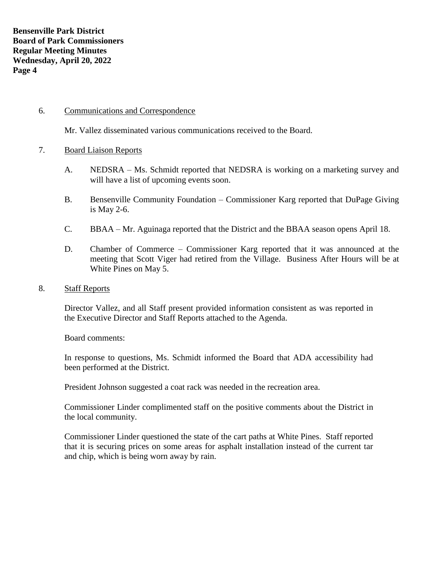## 6. Communications and Correspondence

Mr. Vallez disseminated various communications received to the Board.

#### 7. Board Liaison Reports

- A. NEDSRA Ms. Schmidt reported that NEDSRA is working on a marketing survey and will have a list of upcoming events soon.
- B. Bensenville Community Foundation Commissioner Karg reported that DuPage Giving is May 2-6.
- C. BBAA Mr. Aguinaga reported that the District and the BBAA season opens April 18.
- D. Chamber of Commerce Commissioner Karg reported that it was announced at the meeting that Scott Viger had retired from the Village. Business After Hours will be at White Pines on May 5.

#### 8. Staff Reports

Director Vallez, and all Staff present provided information consistent as was reported in the Executive Director and Staff Reports attached to the Agenda.

Board comments:

In response to questions, Ms. Schmidt informed the Board that ADA accessibility had been performed at the District.

President Johnson suggested a coat rack was needed in the recreation area.

Commissioner Linder complimented staff on the positive comments about the District in the local community.

Commissioner Linder questioned the state of the cart paths at White Pines. Staff reported that it is securing prices on some areas for asphalt installation instead of the current tar and chip, which is being worn away by rain.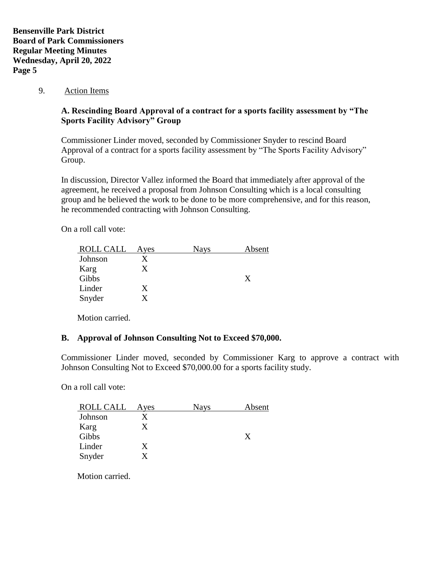9. Action Items

# **A. Rescinding Board Approval of a contract for a sports facility assessment by "The Sports Facility Advisory" Group**

Commissioner Linder moved, seconded by Commissioner Snyder to rescind Board Approval of a contract for a sports facility assessment by "The Sports Facility Advisory" Group.

In discussion, Director Vallez informed the Board that immediately after approval of the agreement, he received a proposal from Johnson Consulting which is a local consulting group and he believed the work to be done to be more comprehensive, and for this reason, he recommended contracting with Johnson Consulting.

On a roll call vote:

| ROLL CALL | Ayes | <b>Nays</b> | Absent |
|-----------|------|-------------|--------|
| Johnson   |      |             |        |
| Karg      |      |             |        |
| Gibbs     |      |             | X      |
| Linder    |      |             |        |
| Snyder    |      |             |        |

Motion carried.

# **B. Approval of Johnson Consulting Not to Exceed \$70,000.**

Commissioner Linder moved, seconded by Commissioner Karg to approve a contract with Johnson Consulting Not to Exceed \$70,000.00 for a sports facility study.

On a roll call vote:

| Ayes | <b>Nays</b> | Absent |
|------|-------------|--------|
|      |             |        |
|      |             |        |
|      |             | X      |
| X    |             |        |
|      |             |        |
|      |             |        |

Motion carried.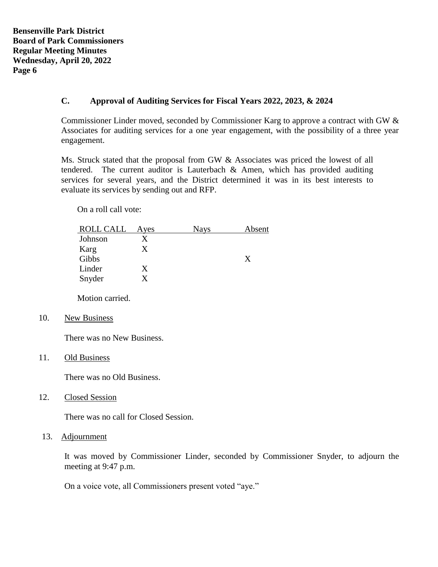**Bensenville Park District Board of Park Commissioners Regular Meeting Minutes Wednesday, April 20, 2022 Page 6**

## **C. Approval of Auditing Services for Fiscal Years 2022, 2023, & 2024**

Commissioner Linder moved, seconded by Commissioner Karg to approve a contract with GW & Associates for auditing services for a one year engagement, with the possibility of a three year engagement.

Ms. Struck stated that the proposal from GW & Associates was priced the lowest of all tendered. The current auditor is Lauterbach  $\&$  Amen, which has provided auditing services for several years, and the District determined it was in its best interests to evaluate its services by sending out and RFP.

On a roll call vote:

| ROLL CALL | Ayes | <b>Nays</b> | Absent |
|-----------|------|-------------|--------|
| Johnson   |      |             |        |
| Karg      |      |             |        |
| Gibbs     |      |             | X      |
| Linder    |      |             |        |
| Snyder    |      |             |        |

Motion carried.

## 10. New Business

There was no New Business.

11. Old Business

There was no Old Business.

12. Closed Session

There was no call for Closed Session.

13. Adjournment

It was moved by Commissioner Linder, seconded by Commissioner Snyder, to adjourn the meeting at 9:47 p.m.

On a voice vote, all Commissioners present voted "aye."